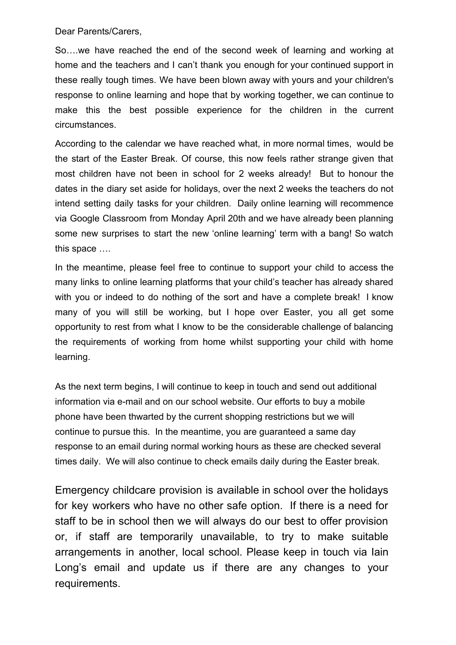Dear Parents/Carers,

So….we have reached the end of the second week of learning and working at home and the teachers and I can't thank you enough for your continued support in these really tough times. We have been blown away with yours and your children's response to online learning and hope that by working together, we can continue to make this the best possible experience for the children in the current circumstances.

According to the calendar we have reached what, in more normal times, would be the start of the Easter Break. Of course, this now feels rather strange given that most children have not been in school for 2 weeks already! But to honour the dates in the diary set aside for holidays, over the next 2 weeks the teachers do not intend setting daily tasks for your children. Daily online learning will recommence via Google Classroom from Monday April 20th and we have already been planning some new surprises to start the new 'online learning' term with a bang! So watch this space ….

In the meantime, please feel free to continue to support your child to access the many links to online learning platforms that your child's teacher has already shared with you or indeed to do nothing of the sort and have a complete break! I know many of you will still be working, but I hope over Easter, you all get some opportunity to rest from what I know to be the considerable challenge of balancing the requirements of working from home whilst supporting your child with home learning.

As the next term begins, I will continue to keep in touch and send out additional information via e-mail and on our school website. Our efforts to buy a mobile phone have been thwarted by the current shopping restrictions but we will continue to pursue this. In the meantime, you are guaranteed a same day response to an email during normal working hours as these are checked several times daily. We will also continue to check emails daily during the Easter break.

Emergency childcare provision is available in school over the holidays for key workers who have no other safe option. If there is a need for staff to be in school then we will always do our best to offer provision or, if staff are temporarily unavailable, to try to make suitable arrangements in another, local school. Please keep in touch via Iain Long's email and update us if there are any changes to your requirements.